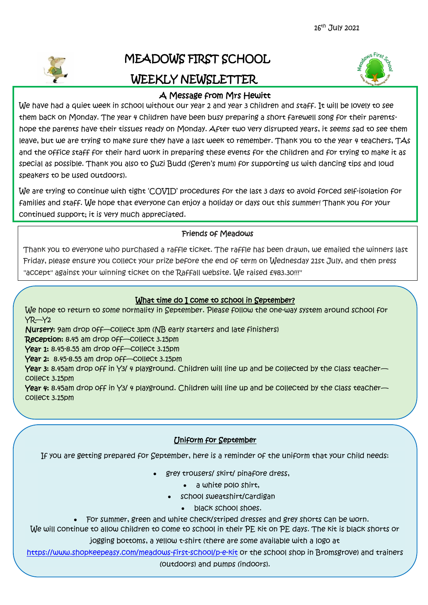

# MEADOWS FIRST SCHOOL WEEKLY NEWSLETTER



## A Message from Mrs Hewitt

We have had a quiet week in school without our year 2 and year 3 children and staff. It will be lovely to see them back on Monday. The year 4 children have been busy preparing a short farewell song for their parentshope the parents have their tissues ready on Monday. After two very disrupted years, it seems sad to see them leave, but we are trying to make sure they have a last week to remember. Thank you to the year 4 teachers, TAs and the office staff for their hard work in preparing these events for the children and for trying to make it as special as possible. Thank you also to Suzi Budd (Seren's mum) for supporting us with dancing tips and loud speakers to be used outdoors).

We are trying to continue with tight 'COVID' procedures for the last 3 days to avoid forced self-isolation for families and staff. We hope that everyone can enjoy a holiday or days out this summer! Thank you for your continued support; it is very much appreciated.

### Friends of Meadows

Thank you to everyone who purchased a raffle ticket. The raffle has been drawn, we emailed the winners last Friday, please ensure you collect your prize before the end of term on Wednesday 21st July, and then press "accept" against your winning ticket on the Raffall website. We raised £483.30!!!"

#### What time do I come to school in September?

We hope to return to some normality in September. Please follow the one-way system around school for YR—Y2

Nursery: 9am drop off—collect 3pm (NB early starters and late finishers)

Reception: 8.45 am drop off—collect 3.15pm

Year 1: 8.45-8.55 am drop off-collect 3.15pm

Year 2: 8.45-8.55 am drop off-Collect 3.15pm

Year 3: 8.45am drop off in Y3/4 playground. Children will line up and be collected by the class teacher collect 3.15pm

Year 4: 8.45am drop off in Y3/4 playground. Children will line up and be collected by the class teacher collect 3.15pm

## Uniform for September

If you are getting prepared for September, here is a reminder of the uniform that your child needs:

- grey trousers/ skirt/ pinafore dress,
	- a white polo shirt,
	- school sweatshirt/cardigan
		- black school shoes.
- For summer, green and white check/striped dresses and grey shorts can be worn.

We will continue to allow children to come to school in their PE kit on PE days. The kit is black shorts or

jogging bottoms, a yellow t-shirt (there are some available with a logo at

<https://www.shopkeepeasy.com/meadows-first-school/p-e-kit> or the school shop in Bromsgrove) and trainers (outdoors) and pumps (indoors).

Ϊ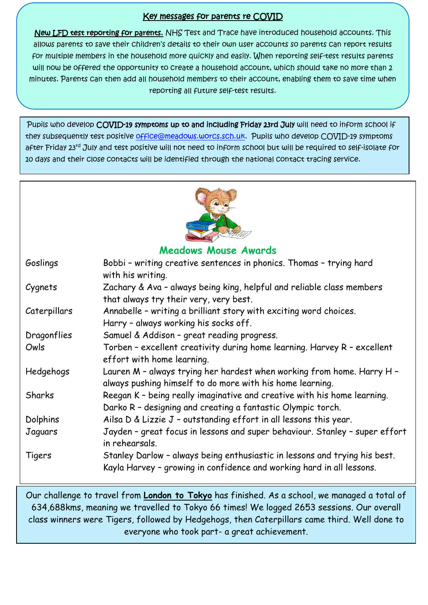## Key messages for parents re COVID

New LFD test reporting for parents. NHS Test and Trace have introduced household accounts. This allows parents to save their children's details to their own user accounts so parents can report results for multiple members in the household more quickly and easily. When reporting self-test results parents will now be offered the opportunity to create a household account, which should take no more than 2 minutes. Parents can then add all household members to their account, enabling them to save time when reporting all future self-test results.

Pupils who develop COVID-19 symptoms up to and including Friday 23rd July will need to inform school if they subsequently test positive [office@meadows.worcs.sch.uk.](mailto:office@meadows.worcs.sch.uk) Pupils who develop COVID-19 symptoms after Friday 23rd July and test positive will not need to inform school but will be required to self-isolate for 10 days and their close contacts will be identified through the national contact tracing service.



**Meadows Mouse Awards**

| Goslings     | Bobbi - writing creative sentences in phonics. Thomas - trying hard<br>with his writing.                                                            |
|--------------|-----------------------------------------------------------------------------------------------------------------------------------------------------|
| Cygnets      | Zachary & Ava - always being king, helpful and reliable class members<br>that always try their very, very best.                                     |
| Caterpillars | Annabelle - writing a brilliant story with exciting word choices.<br>Harry - always working his socks off.                                          |
| Dragonflies  | Samuel & Addison - great reading progress.                                                                                                          |
| Owls         | Torben - excellent creativity during home learning. Harvey R - excellent<br>effort with home learning.                                              |
| Hedgehogs    | Lauren M - always trying her hardest when working from home. Harry H -<br>always pushing himself to do more with his home learning.                 |
| Sharks       | Reegan K - being really imaginative and creative with his home learning.<br>Darko R - designing and creating a fantastic Olympic torch.             |
| Dolphins     | Ailsa D & Lizzie J - outstanding effort in all lessons this year.                                                                                   |
| Jaguars      | Jayden - great focus in lessons and super behaviour. Stanley - super effort<br>in rehearsals.                                                       |
| Tigers       | Stanley Darlow - always being enthusiastic in lessons and trying his best.<br>Kayla Harvey - growing in confidence and working hard in all lessons. |

Our challenge to travel from **London to Tokyo** has finished. As a school, we managed a total of 634,688kms, meaning we travelled to Tokyo 66 times! We logged 2653 sessions. Our overall class winners were Tigers, followed by Hedgehogs, then Caterpillars came third. Well done to everyone who took part- a great achievement.